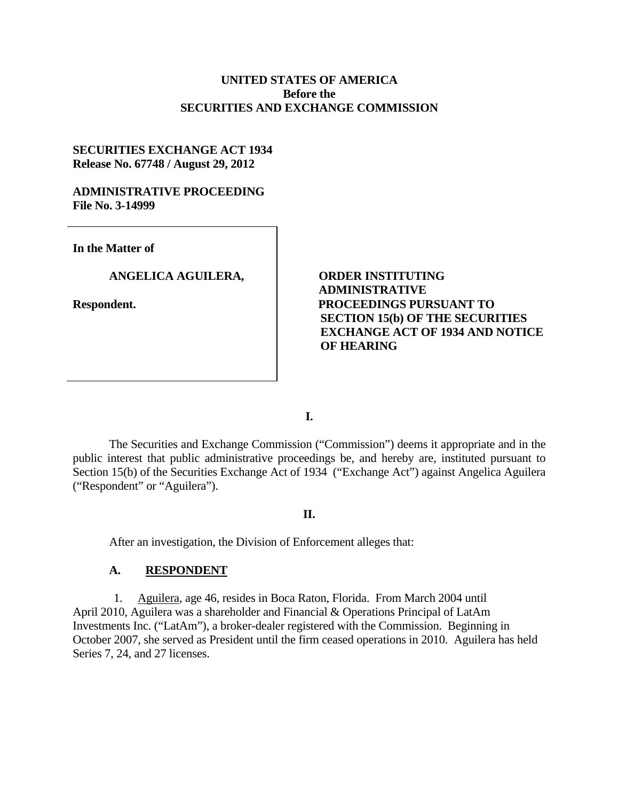## **UNITED STATES OF AMERICA Before the SECURITIES AND EXCHANGE COMMISSION**

## **SECURITIES EXCHANGE ACT 1934 Release No. 67748 / August 29, 2012**

## **ADMINISTRATIVE PROCEEDING File No. 3-14999**

**In the Matter of**

### **ANGELICA AGUILERA,**

**Respondent.**

**ORDER INSTITUTING ADMINISTRATIVE PROCEEDINGS PURSUANT TO SECTION 15(b) OF THE SECURITIES EXCHANGE ACT OF 1934 AND NOTICE OF HEARING**

**I.**

The Securities and Exchange Commission ("Commission") deems it appropriate and in the public interest that public administrative proceedings be, and hereby are, instituted pursuant to Section 15(b) of the Securities Exchange Act of 1934 ("Exchange Act") against Angelica Aguilera ("Respondent" or "Aguilera").

### **II.**

After an investigation, the Division of Enforcement alleges that:

### **A. RESPONDENT**

1. Aguilera, age 46, resides in Boca Raton, Florida. From March 2004 until April 2010, Aguilera was a shareholder and Financial & Operations Principal of LatAm Investments Inc. ("LatAm"), a broker-dealer registered with the Commission. Beginning in October 2007, she served as President until the firm ceased operations in 2010. Aguilera has held Series 7, 24, and 27 licenses.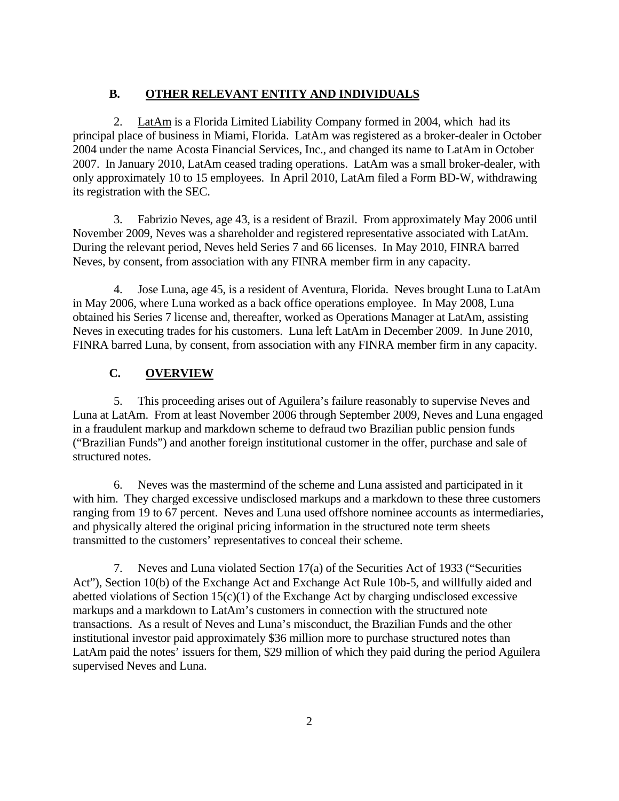# **B. OTHER RELEVANT ENTITY AND INDIVIDUALS**

2. LatAm is a Florida Limited Liability Company formed in 2004, which had its principal place of business in Miami, Florida. LatAm was registered as a broker-dealer in October 2004 under the name Acosta Financial Services, Inc., and changed its name to LatAm in October 2007. In January 2010, LatAm ceased trading operations. LatAm was a small broker-dealer, with only approximately 10 to 15 employees. In April 2010, LatAm filed a Form BD-W, withdrawing its registration with the SEC.

3. Fabrizio Neves, age 43, is a resident of Brazil. From approximately May 2006 until November 2009, Neves was a shareholder and registered representative associated with LatAm. During the relevant period, Neves held Series 7 and 66 licenses. In May 2010, FINRA barred Neves, by consent, from association with any FINRA member firm in any capacity.

4. Jose Luna, age 45, is a resident of Aventura, Florida. Neves brought Luna to LatAm in May 2006, where Luna worked as a back office operations employee. In May 2008, Luna obtained his Series 7 license and, thereafter, worked as Operations Manager at LatAm, assisting Neves in executing trades for his customers. Luna left LatAm in December 2009. In June 2010, FINRA barred Luna, by consent, from association with any FINRA member firm in any capacity.

# **C. OVERVIEW**

5. This proceeding arises out of Aguilera's failure reasonably to supervise Neves and Luna at LatAm. From at least November 2006 through September 2009, Neves and Luna engaged in a fraudulent markup and markdown scheme to defraud two Brazilian public pension funds ("Brazilian Funds") and another foreign institutional customer in the offer, purchase and sale of structured notes.

6. Neves was the mastermind of the scheme and Luna assisted and participated in it with him. They charged excessive undisclosed markups and a markdown to these three customers ranging from 19 to 67 percent. Neves and Luna used offshore nominee accounts as intermediaries, and physically altered the original pricing information in the structured note term sheets transmitted to the customers' representatives to conceal their scheme.

7. Neves and Luna violated Section 17(a) of the Securities Act of 1933 ("Securities Act"), Section 10(b) of the Exchange Act and Exchange Act Rule 10b-5, and willfully aided and abetted violations of Section 15(c)(1) of the Exchange Act by charging undisclosed excessive markups and a markdown to LatAm's customers in connection with the structured note transactions. As a result of Neves and Luna's misconduct, the Brazilian Funds and the other institutional investor paid approximately \$36 million more to purchase structured notes than LatAm paid the notes' issuers for them, \$29 million of which they paid during the period Aguilera supervised Neves and Luna.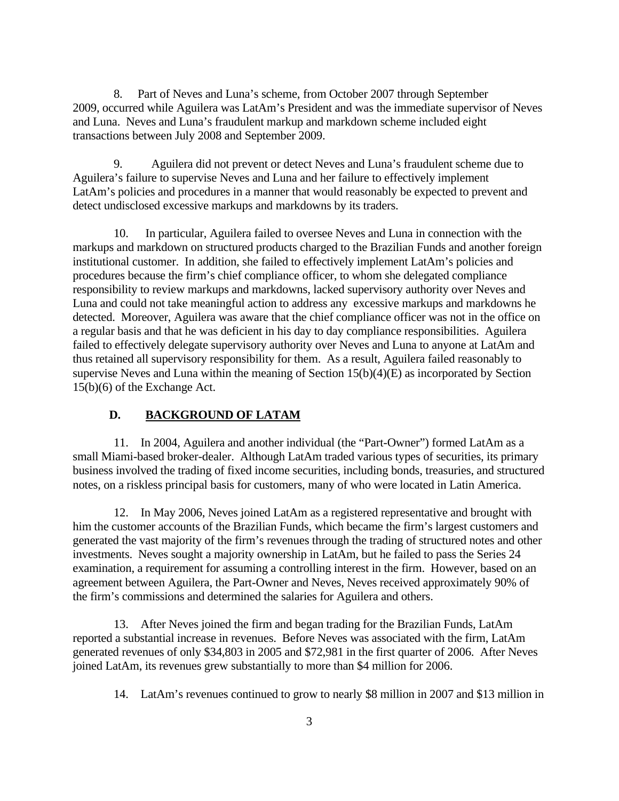8. Part of Neves and Luna's scheme, from October 2007 through September 2009, occurred while Aguilera was LatAm's President and was the immediate supervisor of Neves and Luna. Neves and Luna's fraudulent markup and markdown scheme included eight transactions between July 2008 and September 2009.

9. Aguilera did not prevent or detect Neves and Luna's fraudulent scheme due to Aguilera's failure to supervise Neves and Luna and her failure to effectively implement LatAm's policies and procedures in a manner that would reasonably be expected to prevent and detect undisclosed excessive markups and markdowns by its traders.

10. In particular, Aguilera failed to oversee Neves and Luna in connection with the markups and markdown on structured products charged to the Brazilian Funds and another foreign institutional customer. In addition, she failed to effectively implement LatAm's policies and procedures because the firm's chief compliance officer, to whom she delegated compliance responsibility to review markups and markdowns, lacked supervisory authority over Neves and Luna and could not take meaningful action to address any excessive markups and markdowns he detected. Moreover, Aguilera was aware that the chief compliance officer was not in the office on a regular basis and that he was deficient in his day to day compliance responsibilities. Aguilera failed to effectively delegate supervisory authority over Neves and Luna to anyone at LatAm and thus retained all supervisory responsibility for them. As a result, Aguilera failed reasonably to supervise Neves and Luna within the meaning of Section 15(b)(4)(E) as incorporated by Section 15(b)(6) of the Exchange Act.

## **D. BACKGROUND OF LATAM**

11. In 2004, Aguilera and another individual (the "Part-Owner") formed LatAm as a small Miami-based broker-dealer. Although LatAm traded various types of securities, its primary business involved the trading of fixed income securities, including bonds, treasuries, and structured notes, on a riskless principal basis for customers, many of who were located in Latin America.

12. In May 2006, Neves joined LatAm as a registered representative and brought with him the customer accounts of the Brazilian Funds, which became the firm's largest customers and generated the vast majority of the firm's revenues through the trading of structured notes and other investments. Neves sought a majority ownership in LatAm, but he failed to pass the Series 24 examination, a requirement for assuming a controlling interest in the firm. However, based on an agreement between Aguilera, the Part-Owner and Neves, Neves received approximately 90% of the firm's commissions and determined the salaries for Aguilera and others.

13. After Neves joined the firm and began trading for the Brazilian Funds, LatAm reported a substantial increase in revenues. Before Neves was associated with the firm, LatAm generated revenues of only \$34,803 in 2005 and \$72,981 in the first quarter of 2006. After Neves joined LatAm, its revenues grew substantially to more than \$4 million for 2006.

14. LatAm's revenues continued to grow to nearly \$8 million in 2007 and \$13 million in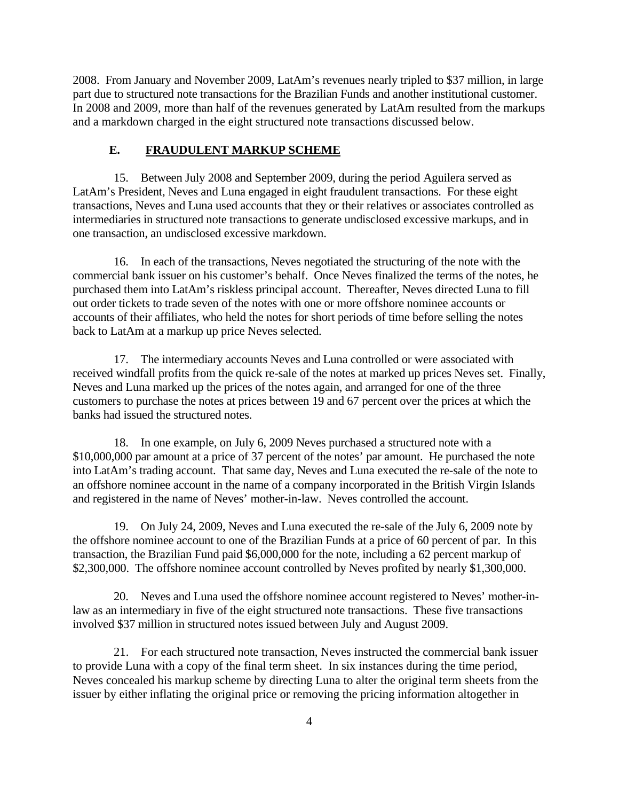2008. From January and November 2009, LatAm's revenues nearly tripled to \$37 million, in large part due to structured note transactions for the Brazilian Funds and another institutional customer. In 2008 and 2009, more than half of the revenues generated by LatAm resulted from the markups and a markdown charged in the eight structured note transactions discussed below.

# **E. FRAUDULENT MARKUP SCHEME**

15. Between July 2008 and September 2009, during the period Aguilera served as LatAm's President, Neves and Luna engaged in eight fraudulent transactions. For these eight transactions, Neves and Luna used accounts that they or their relatives or associates controlled as intermediaries in structured note transactions to generate undisclosed excessive markups, and in one transaction, an undisclosed excessive markdown.

16. In each of the transactions, Neves negotiated the structuring of the note with the commercial bank issuer on his customer's behalf. Once Neves finalized the terms of the notes, he purchased them into LatAm's riskless principal account. Thereafter, Neves directed Luna to fill out order tickets to trade seven of the notes with one or more offshore nominee accounts or accounts of their affiliates, who held the notes for short periods of time before selling the notes back to LatAm at a markup up price Neves selected.

17. The intermediary accounts Neves and Luna controlled or were associated with received windfall profits from the quick re-sale of the notes at marked up prices Neves set. Finally, Neves and Luna marked up the prices of the notes again, and arranged for one of the three customers to purchase the notes at prices between 19 and 67 percent over the prices at which the banks had issued the structured notes.

18. In one example, on July 6, 2009 Neves purchased a structured note with a \$10,000,000 par amount at a price of 37 percent of the notes' par amount. He purchased the note into LatAm's trading account. That same day, Neves and Luna executed the re-sale of the note to an offshore nominee account in the name of a company incorporated in the British Virgin Islands and registered in the name of Neves' mother-in-law. Neves controlled the account.

19. On July 24, 2009, Neves and Luna executed the re-sale of the July 6, 2009 note by the offshore nominee account to one of the Brazilian Funds at a price of 60 percent of par. In this transaction, the Brazilian Fund paid \$6,000,000 for the note, including a 62 percent markup of \$2,300,000. The offshore nominee account controlled by Neves profited by nearly \$1,300,000.

20. Neves and Luna used the offshore nominee account registered to Neves' mother-inlaw as an intermediary in five of the eight structured note transactions. These five transactions involved \$37 million in structured notes issued between July and August 2009.

21. For each structured note transaction, Neves instructed the commercial bank issuer to provide Luna with a copy of the final term sheet. In six instances during the time period, Neves concealed his markup scheme by directing Luna to alter the original term sheets from the issuer by either inflating the original price or removing the pricing information altogether in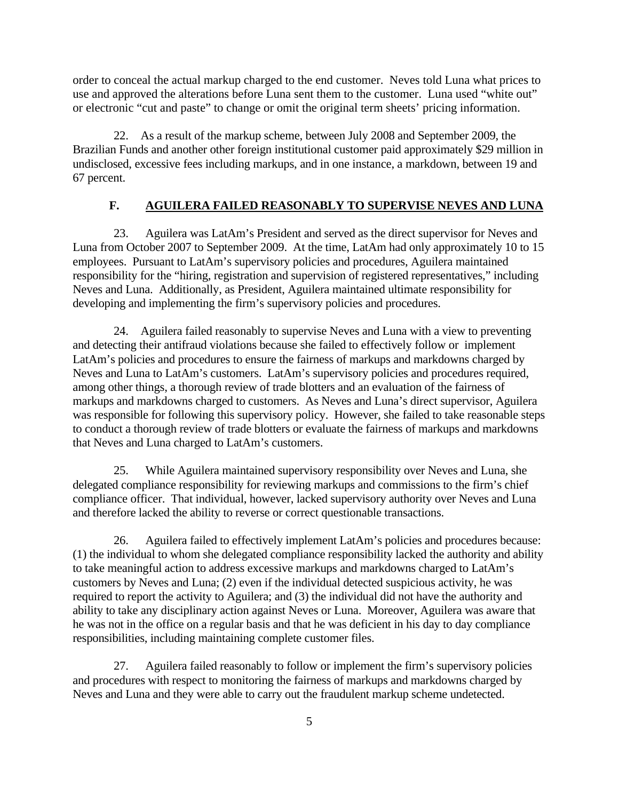order to conceal the actual markup charged to the end customer. Neves told Luna what prices to use and approved the alterations before Luna sent them to the customer. Luna used "white out" or electronic "cut and paste" to change or omit the original term sheets' pricing information.

22. As a result of the markup scheme, between July 2008 and September 2009, the Brazilian Funds and another other foreign institutional customer paid approximately \$29 million in undisclosed, excessive fees including markups, and in one instance, a markdown, between 19 and 67 percent.

### **F. AGUILERA FAILED REASONABLY TO SUPERVISE NEVES AND LUNA**

23. Aguilera was LatAm's President and served as the direct supervisor for Neves and Luna from October 2007 to September 2009. At the time, LatAm had only approximately 10 to 15 employees. Pursuant to LatAm's supervisory policies and procedures, Aguilera maintained responsibility for the "hiring, registration and supervision of registered representatives," including Neves and Luna. Additionally, as President, Aguilera maintained ultimate responsibility for developing and implementing the firm's supervisory policies and procedures.

24. Aguilera failed reasonably to supervise Neves and Luna with a view to preventing and detecting their antifraud violations because she failed to effectively follow or implement LatAm's policies and procedures to ensure the fairness of markups and markdowns charged by Neves and Luna to LatAm's customers. LatAm's supervisory policies and procedures required, among other things, a thorough review of trade blotters and an evaluation of the fairness of markups and markdowns charged to customers. As Neves and Luna's direct supervisor, Aguilera was responsible for following this supervisory policy. However, she failed to take reasonable steps to conduct a thorough review of trade blotters or evaluate the fairness of markups and markdowns that Neves and Luna charged to LatAm's customers.

25. While Aguilera maintained supervisory responsibility over Neves and Luna, she delegated compliance responsibility for reviewing markups and commissions to the firm's chief compliance officer. That individual, however, lacked supervisory authority over Neves and Luna and therefore lacked the ability to reverse or correct questionable transactions.

26. Aguilera failed to effectively implement LatAm's policies and procedures because: (1) the individual to whom she delegated compliance responsibility lacked the authority and ability to take meaningful action to address excessive markups and markdowns charged to LatAm's customers by Neves and Luna; (2) even if the individual detected suspicious activity, he was required to report the activity to Aguilera; and (3) the individual did not have the authority and ability to take any disciplinary action against Neves or Luna. Moreover, Aguilera was aware that he was not in the office on a regular basis and that he was deficient in his day to day compliance responsibilities, including maintaining complete customer files.

27. Aguilera failed reasonably to follow or implement the firm's supervisory policies and procedures with respect to monitoring the fairness of markups and markdowns charged by Neves and Luna and they were able to carry out the fraudulent markup scheme undetected.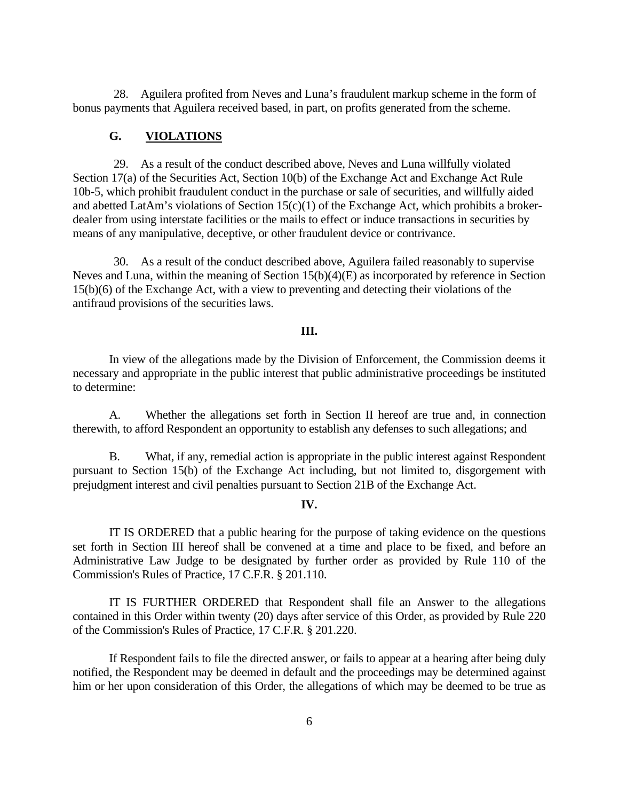28. Aguilera profited from Neves and Luna's fraudulent markup scheme in the form of bonus payments that Aguilera received based, in part, on profits generated from the scheme.

# **G. VIOLATIONS**

29. As a result of the conduct described above, Neves and Luna willfully violated Section 17(a) of the Securities Act, Section 10(b) of the Exchange Act and Exchange Act Rule 10b-5, which prohibit fraudulent conduct in the purchase or sale of securities, and willfully aided and abetted LatAm's violations of Section 15(c)(1) of the Exchange Act, which prohibits a brokerdealer from using interstate facilities or the mails to effect or induce transactions in securities by means of any manipulative, deceptive, or other fraudulent device or contrivance.

30. As a result of the conduct described above, Aguilera failed reasonably to supervise Neves and Luna, within the meaning of Section 15(b)(4)(E) as incorporated by reference in Section 15(b)(6) of the Exchange Act, with a view to preventing and detecting their violations of the antifraud provisions of the securities laws.

### **III.**

In view of the allegations made by the Division of Enforcement, the Commission deems it necessary and appropriate in the public interest that public administrative proceedings be instituted to determine:

A. Whether the allegations set forth in Section II hereof are true and, in connection therewith, to afford Respondent an opportunity to establish any defenses to such allegations; and

B. What, if any, remedial action is appropriate in the public interest against Respondent pursuant to Section 15(b) of the Exchange Act including, but not limited to, disgorgement with prejudgment interest and civil penalties pursuant to Section 21B of the Exchange Act.

#### **IV.**

IT IS ORDERED that a public hearing for the purpose of taking evidence on the questions set forth in Section III hereof shall be convened at a time and place to be fixed, and before an Administrative Law Judge to be designated by further order as provided by Rule 110 of the Commission's Rules of Practice, 17 C.F.R. § 201.110.

IT IS FURTHER ORDERED that Respondent shall file an Answer to the allegations contained in this Order within twenty (20) days after service of this Order, as provided by Rule 220 of the Commission's Rules of Practice, 17 C.F.R. § 201.220.

If Respondent fails to file the directed answer, or fails to appear at a hearing after being duly notified, the Respondent may be deemed in default and the proceedings may be determined against him or her upon consideration of this Order, the allegations of which may be deemed to be true as